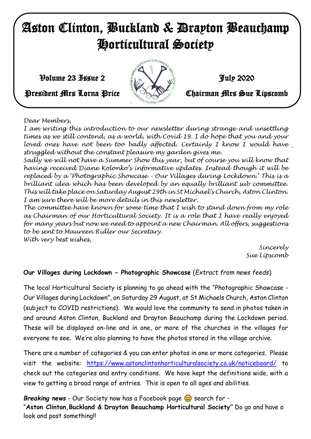# Aston Clinton, Buckland & Drayton Beauchamp Horticultural Society

 $\mathcal{V}$ olume 23 Issue 2 July 2020



# President Mrs Lorna Price **Chairman Mrs Sue Lipscomb**

#### *Dear Members,*

*With very best wishes, times as we still contend, as a world, with Covid 19. I do hope that you and your*  loved ones have not been too badly affected. Certainly I know I would have *I am writing this introduction to our newsletter during strange and unsettling struggled without the constant pleasure my garden gives me.*

*Sadly we will not have a Summer Show this year, but of course you will know that having received Diane Kolonko's informative updates. Instead though it will be replaced by a 'Photographic Showcase - Our Villages during Lockdown.' This is a brilliant idea which has been developed by an equally brilliant sub committee. This will take place on Saturday August 29th in St Michael's Church, Aston Clinton. I am sure there will be more details in this newsletter.*

*The committee have known for some time that I wish to stand down from my role as Chairman of our Horticultural Society. It is a role that I have really enjoyed for many years but now we need to appoint a new Chairman. All offers, suggestions to be sent to Maureen Ridler our Secretary.*

*With very best wishes,*

*Sincerely Sue Lipscomb*

# **Our Villages during Lockdown - Photographic Showcase** (*Extract from news feeds*)

The local Horticultural Society is planning to go ahead with the "Photographic Showcase - Our Villages during Lockdown", on Saturday 29 August, at St Michaels Church, Aston Clinton (subject to COVID restrictions). We would love the community to send in photos taken in and around Aston Clinton, Buckland and Drayton Beauchamp during the Lockdown period. These will be displayed on-line and in one, or more of the churches in the villages for everyone to see. We're also planning to have the photos stored in the village archive.

There are a number of categories & you can enter photos in one or more categories. Please visit the website: <https://www.astonclintonhorticulturalsociety.co.uk/noticeboard/> to check out the categories and entry conditions. We have kept the definitions wide, with a view to getting a broad range of entries. This is open to all ages and abilities.

*Breaking news* - Our Society now has a Facebook page  $\odot$  search for -

"**Aston Clinton,Buckland & Drayton Beauchamp Horticultural Society"** Do go and have a look and post something!!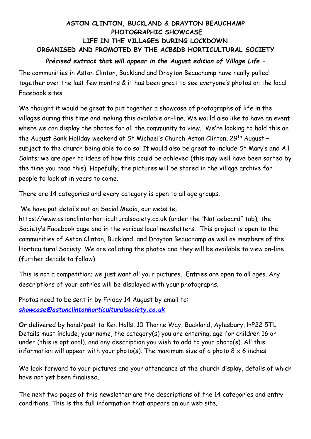# **ASTON CLINTON, BUCKLAND & DRAYTON BEAUCHAMP PHOTOGRAPHIC SHOWCASE LIFE IN THE VILLAGES DURING LOCKDOWN ORGANISED AND PROMOTED BY THE ACB&DB HORTICULTURAL SOCIETY**

### *Précised extract that will appear in the August edition of Village Life* **–**

The communities in Aston Clinton, Buckland and Drayton Beauchamp have really pulled together over the last few months & it has been great to see everyone's photos on the local Facebook sites.

We thought it would be great to put together a showcase of photographs of life in the villages during this time and making this available on-line. We would also like to have an event where we can display the photos for all the community to view. We're looking to hold this on the August Bank Holiday weekend at St Michael's Church Aston Clinton, 29<sup>th</sup> August subject to the church being able to do so! It would also be great to include St Mary's and All Saints; we are open to ideas of how this could be achieved (this may well have been sorted by the time you read this). Hopefully, the pictures will be stored in the village archive for people to look at in years to come.

There are 14 categories and every category is open to all age groups.

We have put details out on Social Media, our website;

https://www.astonclintonhorticulturalsociety.co.uk (under the "Noticeboard" tab); the Society's Facebook page and in the various local newsletters. This project is open to the communities of Aston Clinton, Buckland, and Drayton Beauchamp as well as members of the Horticultural Society. We are collating the photos and they will be available to view on-line (further details to follow).

This is not a competition; we just want all your pictures. Entries are open to all ages. Any descriptions of your entries will be displayed with your photographs.

Photos need to be sent in by Friday 14 August by email to: *[showcase@astonclintonhorticulturalsociety.co.uk](mailto:showcase@astonclintonhorticulturalsociety.co.uk)*

**Or** delivered by hand/post to Ken Halls, 10 Thorne Way, Buckland, Aylesbury, HP22 5TL Details must include, your name, the category(s) you are entering, age for children 16 or under (this is optional), and any description you wish to add to your photo(s). All this information will appear with your photo(s). The maximum size of a photo  $8 \times 6$  inches.

We look forward to your pictures and your attendance at the church display, details of which have not yet been finalised.

The next two pages of this newsletter are the descriptions of the 14 categories and entry conditions. This is the full information that appears on our web site.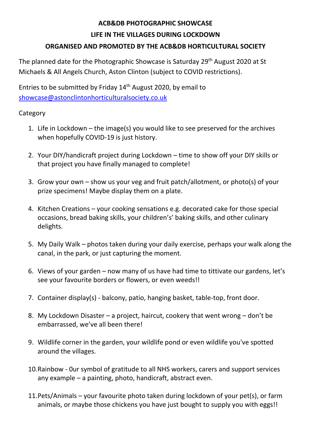#### **ACB&DB PHOTOGRAPHIC SHOWCASE**

#### **LIFE IN THE VILLAGES DURING LOCKDOWN**

# **ORGANISED AND PROMOTED BY THE ACB&DB HORTICULTURAL SOCIETY**

The planned date for the Photographic Showcase is Saturday 29<sup>th</sup> August 2020 at St Michaels & All Angels Church, Aston Clinton (subject to COVID restrictions).

Entries to be submitted by Friday 14<sup>th</sup> August 2020, by email to [showcase@astonclintonhorticulturalsociety.co.uk](mailto:showcase@astonclintonhorticulturalsociety.co.uk)

#### **Category**

- 1. Life in Lockdown the image(s) you would like to see preserved for the archives when hopefully COVID-19 is just history.
- 2. Your DIY/handicraft project during Lockdown time to show off your DIY skills or that project you have finally managed to complete!
- 3. Grow your own show us your veg and fruit patch/allotment, or photo(s) of your prize specimens! Maybe display them on a plate.
- 4. Kitchen Creations your cooking sensations e.g. decorated cake for those special occasions, bread baking skills, your children's' baking skills, and other culinary delights.
- 5. My Daily Walk photos taken during your daily exercise, perhaps your walk along the canal, in the park, or just capturing the moment.
- 6. Views of your garden now many of us have had time to tittivate our gardens, let's see your favourite borders or flowers, or even weeds!!
- 7. Container display(s) balcony, patio, hanging basket, table-top, front door.
- 8. My Lockdown Disaster a project, haircut, cookery that went wrong don't be embarrassed, we've all been there!
- 9. Wildlife corner in the garden, your wildlife pond or even wildlife you've spotted around the villages.
- 10.Rainbow 0ur symbol of gratitude to all NHS workers, carers and support services any example – a painting, photo, handicraft, abstract even.
- 11.Pets/Animals your favourite photo taken during lockdown of your pet(s), or farm animals, or maybe those chickens you have just bought to supply you with eggs!!